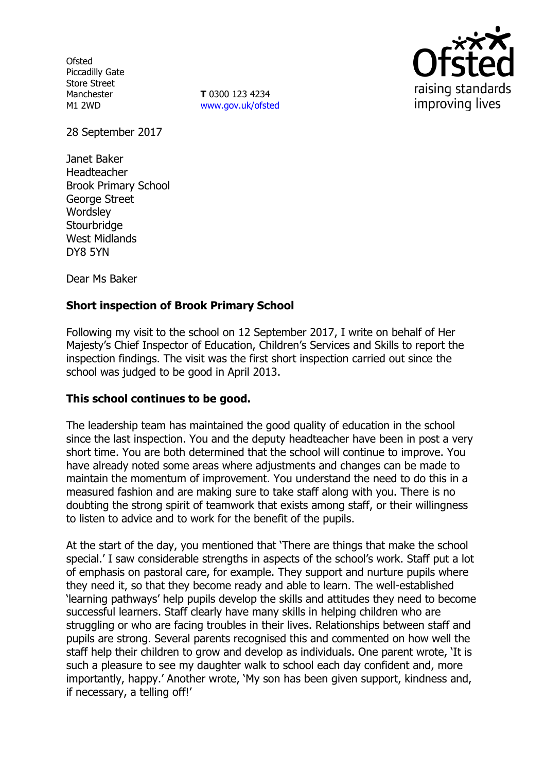**Ofsted** Piccadilly Gate Store Street Manchester M1 2WD

**T** 0300 123 4234 www.gov.uk/ofsted



28 September 2017

Janet Baker Headteacher Brook Primary School George Street **Wordsley Stourbridge** West Midlands DY8 5YN

Dear Ms Baker

# **Short inspection of Brook Primary School**

Following my visit to the school on 12 September 2017, I write on behalf of Her Majesty's Chief Inspector of Education, Children's Services and Skills to report the inspection findings. The visit was the first short inspection carried out since the school was judged to be good in April 2013.

## **This school continues to be good.**

The leadership team has maintained the good quality of education in the school since the last inspection. You and the deputy headteacher have been in post a very short time. You are both determined that the school will continue to improve. You have already noted some areas where adjustments and changes can be made to maintain the momentum of improvement. You understand the need to do this in a measured fashion and are making sure to take staff along with you. There is no doubting the strong spirit of teamwork that exists among staff, or their willingness to listen to advice and to work for the benefit of the pupils.

At the start of the day, you mentioned that 'There are things that make the school special.' I saw considerable strengths in aspects of the school's work. Staff put a lot of emphasis on pastoral care, for example. They support and nurture pupils where they need it, so that they become ready and able to learn. The well-established 'learning pathways' help pupils develop the skills and attitudes they need to become successful learners. Staff clearly have many skills in helping children who are struggling or who are facing troubles in their lives. Relationships between staff and pupils are strong. Several parents recognised this and commented on how well the staff help their children to grow and develop as individuals. One parent wrote, 'It is such a pleasure to see my daughter walk to school each day confident and, more importantly, happy.' Another wrote, 'My son has been given support, kindness and, if necessary, a telling off!'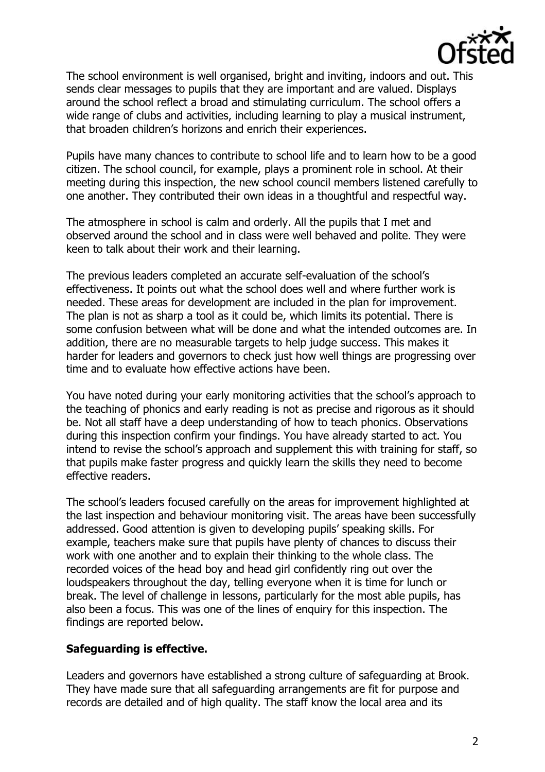

The school environment is well organised, bright and inviting, indoors and out. This sends clear messages to pupils that they are important and are valued. Displays around the school reflect a broad and stimulating curriculum. The school offers a wide range of clubs and activities, including learning to play a musical instrument, that broaden children's horizons and enrich their experiences.

Pupils have many chances to contribute to school life and to learn how to be a good citizen. The school council, for example, plays a prominent role in school. At their meeting during this inspection, the new school council members listened carefully to one another. They contributed their own ideas in a thoughtful and respectful way.

The atmosphere in school is calm and orderly. All the pupils that I met and observed around the school and in class were well behaved and polite. They were keen to talk about their work and their learning.

The previous leaders completed an accurate self-evaluation of the school's effectiveness. It points out what the school does well and where further work is needed. These areas for development are included in the plan for improvement. The plan is not as sharp a tool as it could be, which limits its potential. There is some confusion between what will be done and what the intended outcomes are. In addition, there are no measurable targets to help judge success. This makes it harder for leaders and governors to check just how well things are progressing over time and to evaluate how effective actions have been.

You have noted during your early monitoring activities that the school's approach to the teaching of phonics and early reading is not as precise and rigorous as it should be. Not all staff have a deep understanding of how to teach phonics. Observations during this inspection confirm your findings. You have already started to act. You intend to revise the school's approach and supplement this with training for staff, so that pupils make faster progress and quickly learn the skills they need to become effective readers.

The school's leaders focused carefully on the areas for improvement highlighted at the last inspection and behaviour monitoring visit. The areas have been successfully addressed. Good attention is given to developing pupils' speaking skills. For example, teachers make sure that pupils have plenty of chances to discuss their work with one another and to explain their thinking to the whole class. The recorded voices of the head boy and head girl confidently ring out over the loudspeakers throughout the day, telling everyone when it is time for lunch or break. The level of challenge in lessons, particularly for the most able pupils, has also been a focus. This was one of the lines of enquiry for this inspection. The findings are reported below.

## **Safeguarding is effective.**

Leaders and governors have established a strong culture of safeguarding at Brook. They have made sure that all safeguarding arrangements are fit for purpose and records are detailed and of high quality. The staff know the local area and its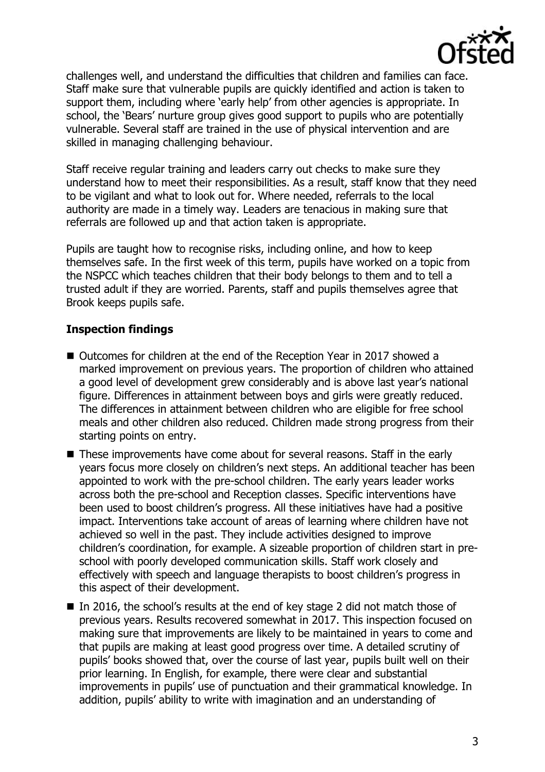

challenges well, and understand the difficulties that children and families can face. Staff make sure that vulnerable pupils are quickly identified and action is taken to support them, including where 'early help' from other agencies is appropriate. In school, the 'Bears' nurture group gives good support to pupils who are potentially vulnerable. Several staff are trained in the use of physical intervention and are skilled in managing challenging behaviour.

Staff receive regular training and leaders carry out checks to make sure they understand how to meet their responsibilities. As a result, staff know that they need to be vigilant and what to look out for. Where needed, referrals to the local authority are made in a timely way. Leaders are tenacious in making sure that referrals are followed up and that action taken is appropriate.

Pupils are taught how to recognise risks, including online, and how to keep themselves safe. In the first week of this term, pupils have worked on a topic from the NSPCC which teaches children that their body belongs to them and to tell a trusted adult if they are worried. Parents, staff and pupils themselves agree that Brook keeps pupils safe.

# **Inspection findings**

- Outcomes for children at the end of the Reception Year in 2017 showed a marked improvement on previous years. The proportion of children who attained a good level of development grew considerably and is above last year's national figure. Differences in attainment between boys and girls were greatly reduced. The differences in attainment between children who are eligible for free school meals and other children also reduced. Children made strong progress from their starting points on entry.
- These improvements have come about for several reasons. Staff in the early years focus more closely on children's next steps. An additional teacher has been appointed to work with the pre-school children. The early years leader works across both the pre-school and Reception classes. Specific interventions have been used to boost children's progress. All these initiatives have had a positive impact. Interventions take account of areas of learning where children have not achieved so well in the past. They include activities designed to improve children's coordination, for example. A sizeable proportion of children start in preschool with poorly developed communication skills. Staff work closely and effectively with speech and language therapists to boost children's progress in this aspect of their development.
- In 2016, the school's results at the end of key stage 2 did not match those of previous years. Results recovered somewhat in 2017. This inspection focused on making sure that improvements are likely to be maintained in years to come and that pupils are making at least good progress over time. A detailed scrutiny of pupils' books showed that, over the course of last year, pupils built well on their prior learning. In English, for example, there were clear and substantial improvements in pupils' use of punctuation and their grammatical knowledge. In addition, pupils' ability to write with imagination and an understanding of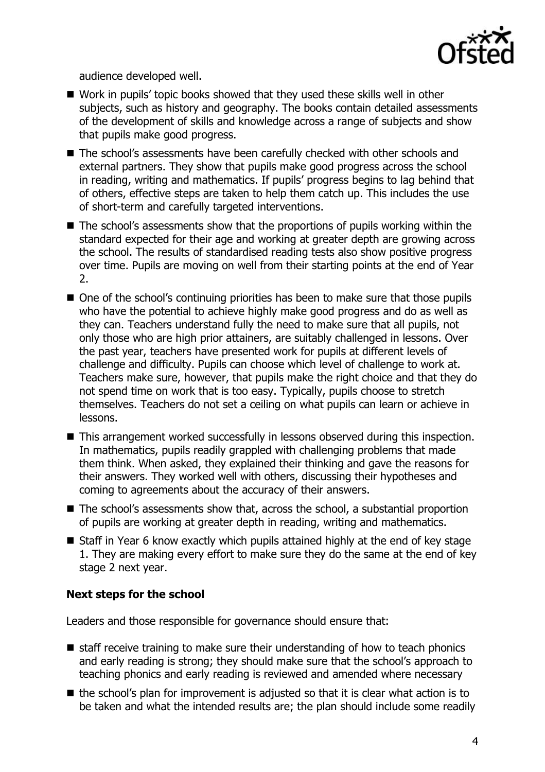

audience developed well.

- Work in pupils' topic books showed that they used these skills well in other subjects, such as history and geography. The books contain detailed assessments of the development of skills and knowledge across a range of subjects and show that pupils make good progress.
- The school's assessments have been carefully checked with other schools and external partners. They show that pupils make good progress across the school in reading, writing and mathematics. If pupils' progress begins to lag behind that of others, effective steps are taken to help them catch up. This includes the use of short-term and carefully targeted interventions.
- The school's assessments show that the proportions of pupils working within the standard expected for their age and working at greater depth are growing across the school. The results of standardised reading tests also show positive progress over time. Pupils are moving on well from their starting points at the end of Year 2.
- One of the school's continuing priorities has been to make sure that those pupils who have the potential to achieve highly make good progress and do as well as they can. Teachers understand fully the need to make sure that all pupils, not only those who are high prior attainers, are suitably challenged in lessons. Over the past year, teachers have presented work for pupils at different levels of challenge and difficulty. Pupils can choose which level of challenge to work at. Teachers make sure, however, that pupils make the right choice and that they do not spend time on work that is too easy. Typically, pupils choose to stretch themselves. Teachers do not set a ceiling on what pupils can learn or achieve in lessons.
- This arrangement worked successfully in lessons observed during this inspection. In mathematics, pupils readily grappled with challenging problems that made them think. When asked, they explained their thinking and gave the reasons for their answers. They worked well with others, discussing their hypotheses and coming to agreements about the accuracy of their answers.
- The school's assessments show that, across the school, a substantial proportion of pupils are working at greater depth in reading, writing and mathematics.
- Staff in Year 6 know exactly which pupils attained highly at the end of key stage 1. They are making every effort to make sure they do the same at the end of key stage 2 next year.

# **Next steps for the school**

Leaders and those responsible for governance should ensure that:

- $\blacksquare$  staff receive training to make sure their understanding of how to teach phonics and early reading is strong; they should make sure that the school's approach to teaching phonics and early reading is reviewed and amended where necessary
- $\blacksquare$  the school's plan for improvement is adjusted so that it is clear what action is to be taken and what the intended results are; the plan should include some readily